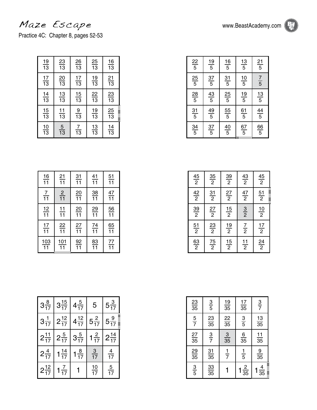## Maze Escape www.BeastAcademy.com

Practice 4C: Chapter 8, pages 52-53

| $\frac{19}{13}$ | $\frac{23}{13}$ | $\frac{26}{13}$ | $\frac{25}{13}$ | $\frac{16}{13}$ |
|-----------------|-----------------|-----------------|-----------------|-----------------|
| $\frac{17}{13}$ | $\frac{20}{13}$ | $\frac{17}{13}$ | $\frac{19}{13}$ | $\frac{21}{13}$ |
| $\frac{14}{13}$ | $\frac{13}{13}$ | $\frac{15}{13}$ | $\frac{22}{13}$ | $\frac{23}{13}$ |
| $\frac{15}{13}$ | $\frac{11}{13}$ | $\frac{9}{13}$  | $\frac{19}{13}$ | $\frac{25}{13}$ |
| $\frac{10}{13}$ | $\frac{5}{13}$  | $\frac{7}{13}$  | $\frac{13}{13}$ | $\frac{14}{13}$ |

| $\frac{16}{11}$  | $\frac{21}{11}$  | $\frac{31}{11}$ | $\frac{41}{11}$ | $\frac{51}{11}$ |
|------------------|------------------|-----------------|-----------------|-----------------|
| $\frac{7}{11}$   | $\frac{2}{11}$   | $\frac{20}{11}$ | $\frac{38}{11}$ | $\frac{47}{11}$ |
| $\frac{12}{11}$  | $\frac{11}{11}$  | $\frac{20}{11}$ | $\frac{29}{11}$ | $\frac{56}{11}$ |
| $\frac{17}{11}$  | $\frac{22}{11}$  | $\frac{27}{11}$ | $\frac{74}{11}$ | $\frac{65}{11}$ |
| $\frac{103}{11}$ | $\frac{101}{11}$ | $\frac{92}{11}$ | $\frac{83}{11}$ | $\frac{77}{11}$ |

| $3\frac{8}{17}$  | $3\frac{15}{17}$ | $4\frac{5}{17}$  | 5               | $5\frac{3}{17}$  |
|------------------|------------------|------------------|-----------------|------------------|
| $3\frac{1}{17}$  | $2\frac{12}{17}$ | $4\frac{12}{17}$ | $5\frac{2}{17}$ | $5\frac{9}{17}$  |
| $2\frac{11}{17}$ | $2\frac{5}{17}$  | $3\frac{5}{17}$  | $1\frac{2}{17}$ | $2\frac{14}{17}$ |
| $2\frac{4}{17}$  | $1\frac{14}{17}$ | $1\frac{8}{17}$  | $\frac{3}{17}$  | $\frac{4}{17}$   |
| $2\frac{12}{17}$ | $rac{7}{17}$     |                  | $\frac{10}{17}$ | $\frac{5}{17}$   |

| $\frac{23}{35}$ | $rac{3}{5}$     | $\frac{19}{35}$ | $\frac{17}{35}$ | $rac{3}{7}$     |
|-----------------|-----------------|-----------------|-----------------|-----------------|
| $\frac{5}{7}$   | $\frac{23}{35}$ | $\frac{22}{35}$ | $rac{3}{5}$     | $\frac{13}{35}$ |
| $\frac{27}{35}$ | $rac{3}{7}$     | $\frac{3}{35}$  | $\frac{6}{35}$  | $\frac{11}{35}$ |
| $\frac{29}{35}$ | $\frac{31}{35}$ | $rac{1}{7}$     | $\frac{1}{5}$   | $\frac{9}{35}$  |
| $rac{3}{5}$     | $\frac{33}{35}$ |                 | $\frac{2}{35}$  | $\frac{4}{35}$  |

| $\frac{22}{5}$ | $\frac{19}{5}$ | $\frac{16}{5}$ | $\frac{13}{5}$ | $\frac{21}{5}$ |
|----------------|----------------|----------------|----------------|----------------|
| $\frac{25}{5}$ | $\frac{37}{5}$ | $\frac{31}{5}$ | $\frac{10}{5}$ | $\frac{7}{5}$  |
| $\frac{28}{5}$ | $\frac{43}{5}$ | $\frac{25}{5}$ | $\frac{19}{5}$ | $\frac{13}{5}$ |
| $\frac{31}{5}$ | $\frac{49}{5}$ | $\frac{55}{5}$ | $\frac{61}{5}$ | $\frac{44}{5}$ |
| $\frac{34}{5}$ | $\frac{37}{5}$ | $\frac{40}{5}$ | $\frac{67}{5}$ | $\frac{66}{5}$ |

| $\frac{45}{2}$ | $\frac{35}{2}$ | $\frac{39}{2}$ | $\frac{43}{2}$ | $\frac{45}{2}$                 |
|----------------|----------------|----------------|----------------|--------------------------------|
| $\frac{42}{2}$ | $\frac{31}{2}$ | $\frac{27}{2}$ | $\frac{47}{2}$ | <b>THEFT</b><br>$\frac{51}{2}$ |
| $\frac{39}{2}$ | $\frac{27}{2}$ | $\frac{15}{2}$ | $rac{3}{2}$    | $\frac{10}{2}$                 |
| $\frac{51}{2}$ | $\frac{23}{2}$ | $\frac{19}{2}$ | $\frac{7}{2}$  | $\frac{17}{2}$                 |
| $\frac{63}{2}$ | $\frac{75}{2}$ | $\frac{15}{2}$ | $\frac{11}{2}$ | $\frac{24}{2}$                 |